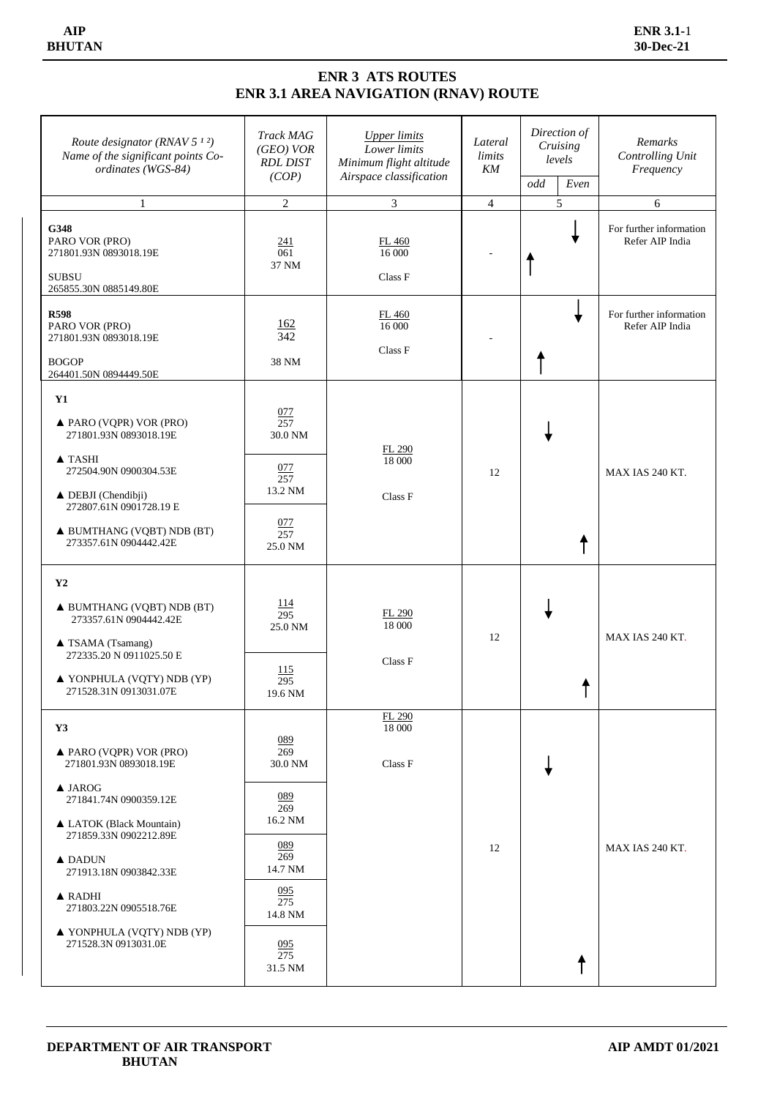## **ENR 3 ATS ROUTES ENR 3.1 AREA NAVIGATION (RNAV) ROUTE**

| Route designator (RNAV 5 $12$ )<br>Name of the significant points Co-<br>ordinates (WGS-84)                                                                                                                                                                                                                                               | <b>Track MAG</b><br>(GEO) VOR<br><b>RDL DIST</b><br>(COP)                                                                 | <b>Upper limits</b><br>Lower limits<br>Minimum flight altitude<br>Airspace classification | Lateral<br>limits<br>KM | Direction of<br>Cruising<br>levels<br>odd<br>Even | Remarks<br>Controlling Unit<br>Frequency   |
|-------------------------------------------------------------------------------------------------------------------------------------------------------------------------------------------------------------------------------------------------------------------------------------------------------------------------------------------|---------------------------------------------------------------------------------------------------------------------------|-------------------------------------------------------------------------------------------|-------------------------|---------------------------------------------------|--------------------------------------------|
| 1                                                                                                                                                                                                                                                                                                                                         | $\sqrt{2}$                                                                                                                | $\overline{3}$                                                                            | $\overline{4}$          | 5                                                 | 6                                          |
| G348<br>PARO VOR (PRO)<br>271801.93N 0893018.19E<br><b>SUBSU</b><br>265855.30N 0885149.80E                                                                                                                                                                                                                                                | 241<br>061<br>37 NM                                                                                                       | FL 460<br>16 000<br>Class F                                                               |                         |                                                   | For further information<br>Refer AIP India |
| <b>R598</b><br>PARO VOR (PRO)<br>271801.93N 0893018.19E<br><b>BOGOP</b><br>264401.50N 0894449.50E                                                                                                                                                                                                                                         | <u>162</u><br>342<br>38 NM                                                                                                | FL 460<br>16 000<br>Class F                                                               |                         |                                                   | For further information<br>Refer AIP India |
| Y1<br>▲ PARO (VQPR) VOR (PRO)<br>271801.93N 0893018.19E<br>$\blacktriangle$ TASHI<br>272504.90N 0900304.53E                                                                                                                                                                                                                               | 077<br>257<br>30.0 NM<br>077<br>257                                                                                       | FL 290<br>18 000                                                                          | 12                      |                                                   | MAX IAS 240 KT.                            |
| $\triangle$ DEBJI (Chendibji)<br>272807.61N 0901728.19 E<br>A BUMTHANG (VQBT) NDB (BT)<br>273357.61N 0904442.42E                                                                                                                                                                                                                          | 13.2 NM<br>077<br>257<br>25.0 NM                                                                                          | Class F                                                                                   |                         |                                                   |                                            |
| $\mathbf{Y2}$<br>A BUMTHANG (VQBT) NDB (BT)<br>273357.61N 0904442.42E<br>▲ TSAMA (Tsamang)<br>272335.20 N 0911025.50 E<br>▲ YONPHULA (VQTY) NDB (YP)<br>271528.31N 0913031.07E                                                                                                                                                            | <u>114</u><br>295<br>25.0 NM<br>115<br>295<br>19.6 NM                                                                     | FL 290<br>18 000<br>Class F                                                               | 12                      |                                                   | MAX IAS 240 KT.                            |
| Y3<br>$\triangle$ PARO (VQPR) VOR (PRO)<br>271801.93N 0893018.19E<br>$\triangle$ JAROG<br>271841.74N 0900359.12E<br>▲ LATOK (Black Mountain)<br>271859.33N 0902212.89E<br>$\triangle$ DADUN<br>271913.18N 0903842.33E<br>$\triangle$ RADHI<br>271803.22N 0905518.76E<br>$\blacktriangle$ YONPHULA (VQTY) NDB (YP)<br>271528.3N 0913031.0E | 089<br>269<br>30.0 NM<br>089<br>269<br>16.2 NM<br>089<br>269<br>14.7 NM<br>095<br>275<br>14.8 NM<br>095<br>275<br>31.5 NM | FL 290<br>18 000<br>Class F                                                               | 12                      |                                                   | MAX IAS 240 KT.                            |